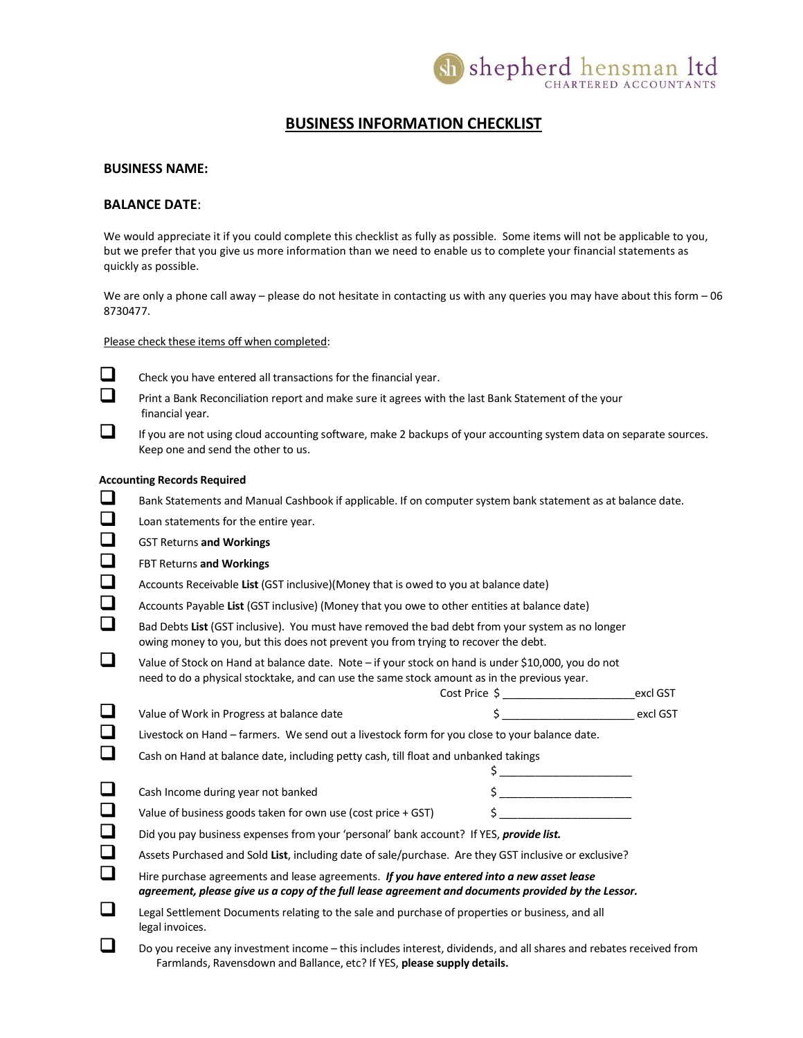

## BUSINESS INFORMATION CHECKLIST

## BUSINESS NAME:

## BALANCE DATE:

We would appreciate it if you could complete this checklist as fully as possible. Some items will not be applicable to you, but we prefer that you give us more information than we need to enable us to complete your financial statements as quickly as possible.

We are only a phone call away – please do not hesitate in contacting us with any queries you may have about this form  $-06$ 8730477.

Please check these items off when completed:



- $\Box$  Check you have entered all transactions for the financial year.
- **Print a Bank Reconciliation report and make sure it agrees with the last Bank Statement of the your** financial year.
- $\Box$  If you are not using cloud accounting software, make 2 backups of your accounting system data on separate sources. Keep one and send the other to us.

## Accounting Records Required

- **Bank Statements and Manual Cashbook if applicable. If on computer system bank statement as at balance date.**
- **L** Loan statements for the entire year.
- **GST Returns and Workings**
- **Example 3** FBT Returns and Workings
- Accounts Receivable List (GST inclusive)(Money that is owed to you at balance date)
- Accounts Payable List (GST inclusive) (Money that you owe to other entities at balance date)
- Bad Debts List (GST inclusive). You must have removed the bad debt from your system as no longer owing money to you, but this does not prevent you from trying to recover the debt.
- Value of Stock on Hand at balance date. Note if your stock on hand is under \$10,000, you do not need to do a physical stocktake, and can use the same stock amount as in the previous year.

|        |                                                                                               | Cost Price S | excl GST |
|--------|-----------------------------------------------------------------------------------------------|--------------|----------|
|        | Value of Work in Progress at balance date                                                     |              | excl GST |
| $\Box$ | Livestock on Hand - farmers. We send out a livestock form for you close to your balance date. |              |          |

Cash on Hand at balance date, including petty cash, till float and unbanked takings

| Cash Income during year not banked |  |
|------------------------------------|--|

| Value of business goods taken for own use (cost price + GST) |  |
|--------------------------------------------------------------|--|
|--------------------------------------------------------------|--|

- Did you pay business expenses from your 'personal' bank account? If YES, provide list.
- Assets Purchased and Sold List, including date of sale/purchase. Are they GST inclusive or exclusive?

| Hire purchase agreements and lease agreements. If you have entered into a new asset lease          |
|----------------------------------------------------------------------------------------------------|
| agreement, please give us a copy of the full lease agreement and documents provided by the Lessor. |

- Legal Settlement Documents relating to the sale and purchase of properties or business, and all legal invoices.
- $\square$  Do you receive any investment income this includes interest, dividends, and all shares and rebates received from Farmlands, Ravensdown and Ballance, etc? If YES, please supply details.